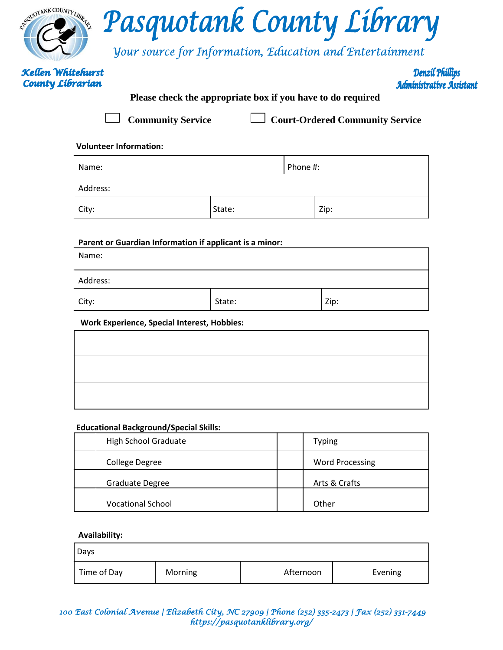|                          | Pasquotank County Library<br><b>Vour source for Information, Education and Entertainment</b> |
|--------------------------|----------------------------------------------------------------------------------------------|
| <b>Kellen Whitehurst</b> | <b>Denzil Phillips</b>                                                                       |
| <b>County Librarian</b>  | Administrative Assistant                                                                     |

# **Please check the appropriate box if you have to do required**

| <b>Community Service</b> | Court-Ordered Community Service |
|--------------------------|---------------------------------|
|                          |                                 |

## **Volunteer Information:**

| Name:    |        | Phone #: |      |
|----------|--------|----------|------|
| Address: |        |          |      |
| City:    | State: |          | Zip: |

### **Parent or Guardian Information if applicant is a minor:**

| Name:    |        |      |
|----------|--------|------|
| Address: |        |      |
| City:    | State: | Zip: |

### **Work Experience, Special Interest, Hobbies:**

### **Educational Background/Special Skills:**

| <b>High School Graduate</b> | <b>Typing</b>          |
|-----------------------------|------------------------|
| College Degree              | <b>Word Processing</b> |
| Graduate Degree             | Arts & Crafts          |
| <b>Vocational School</b>    | Other                  |

#### **Availability:**

| Days        |         |           |         |
|-------------|---------|-----------|---------|
| Time of Day | Morning | Afternoon | Evening |